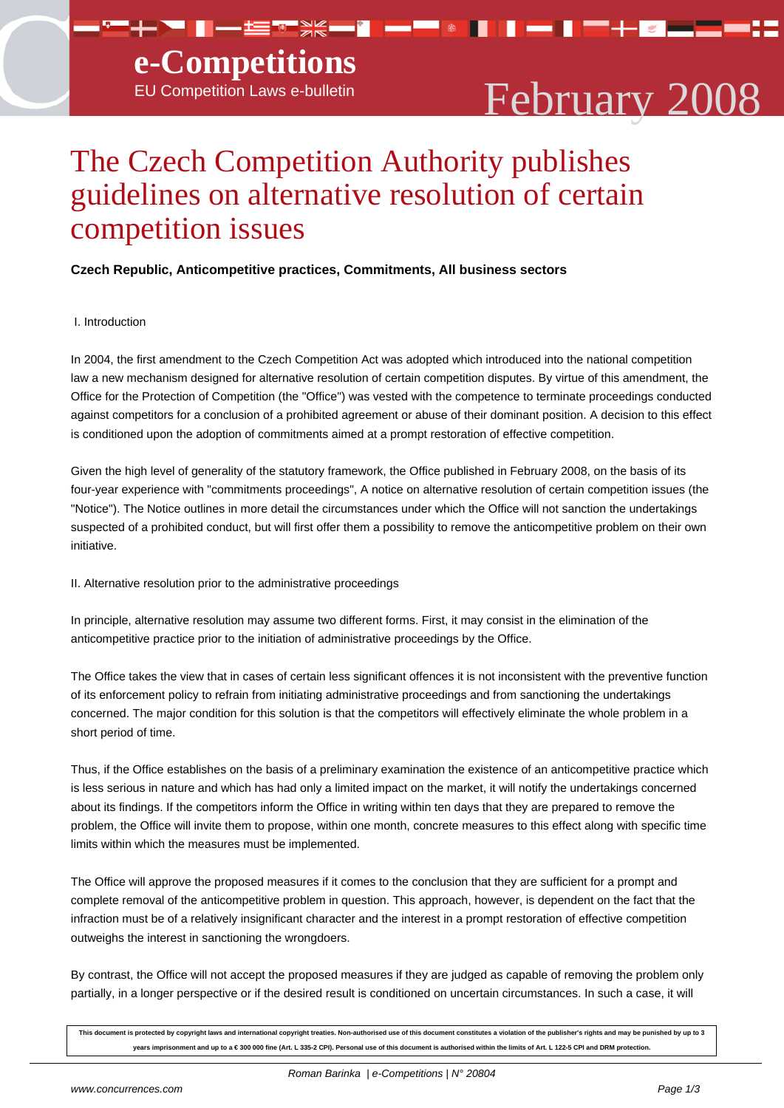▀▀**┼▖▀▕▋</u>▄▖▙▆▀▒▓<mark>▄▖▊▕▄▝▀</mark>▕░▐▌** 



▐▀▛▞▞▊▅▊▀▀▞▀

n — n

# The Czech Competition Authority publishes guidelines on alternative resolution of certain competition issues

## **Czech Republic, Anticompetitive practices, Commitments, All business sectors**

### I. Introduction

In 2004, the first amendment to the Czech Competition Act was adopted which introduced into the national competition law a new mechanism designed for alternative resolution of certain competition disputes. By virtue of this amendment, the Office for the Protection of Competition (the "Office") was vested with the competence to terminate proceedings conducted against competitors for a conclusion of a prohibited agreement or abuse of their dominant position. A decision to this effect is conditioned upon the adoption of commitments aimed at a prompt restoration of effective competition.

Given the high level of generality of the statutory framework, the Office published in February 2008, on the basis of its four-year experience with "commitments proceedings", A notice on alternative resolution of certain competition issues (the "Notice"). The Notice outlines in more detail the circumstances under which the Office will not sanction the undertakings suspected of a prohibited conduct, but will first offer them a possibility to remove the anticompetitive problem on their own initiative.

#### II. Alternative resolution prior to the administrative proceedings

In principle, alternative resolution may assume two different forms. First, it may consist in the elimination of the anticompetitive practice prior to the initiation of administrative proceedings by the Office.

The Office takes the view that in cases of certain less significant offences it is not inconsistent with the preventive function of its enforcement policy to refrain from initiating administrative proceedings and from sanctioning the undertakings concerned. The major condition for this solution is that the competitors will effectively eliminate the whole problem in a short period of time.

Thus, if the Office establishes on the basis of a preliminary examination the existence of an anticompetitive practice which is less serious in nature and which has had only a limited impact on the market, it will notify the undertakings concerned about its findings. If the competitors inform the Office in writing within ten days that they are prepared to remove the problem, the Office will invite them to propose, within one month, concrete measures to this effect along with specific time limits within which the measures must be implemented.

The Office will approve the proposed measures if it comes to the conclusion that they are sufficient for a prompt and complete removal of the anticompetitive problem in question. This approach, however, is dependent on the fact that the infraction must be of a relatively insignificant character and the interest in a prompt restoration of effective competition outweighs the interest in sanctioning the wrongdoers.

By contrast, the Office will not accept the proposed measures if they are judged as capable of removing the problem only partially, in a longer perspective or if the desired result is conditioned on uncertain circumstances. In such a case, it will

**This document is protected by copyright laws and international copyright treaties. Non-authorised use of this document constitutes a violation of the publisher's rights and may be punished by up to 3 years imprisonment and up to a € 300 000 fine (Art. L 335-2 CPI). Personal use of this document is authorised within the limits of Art. L 122-5 CPI and DRM protection.**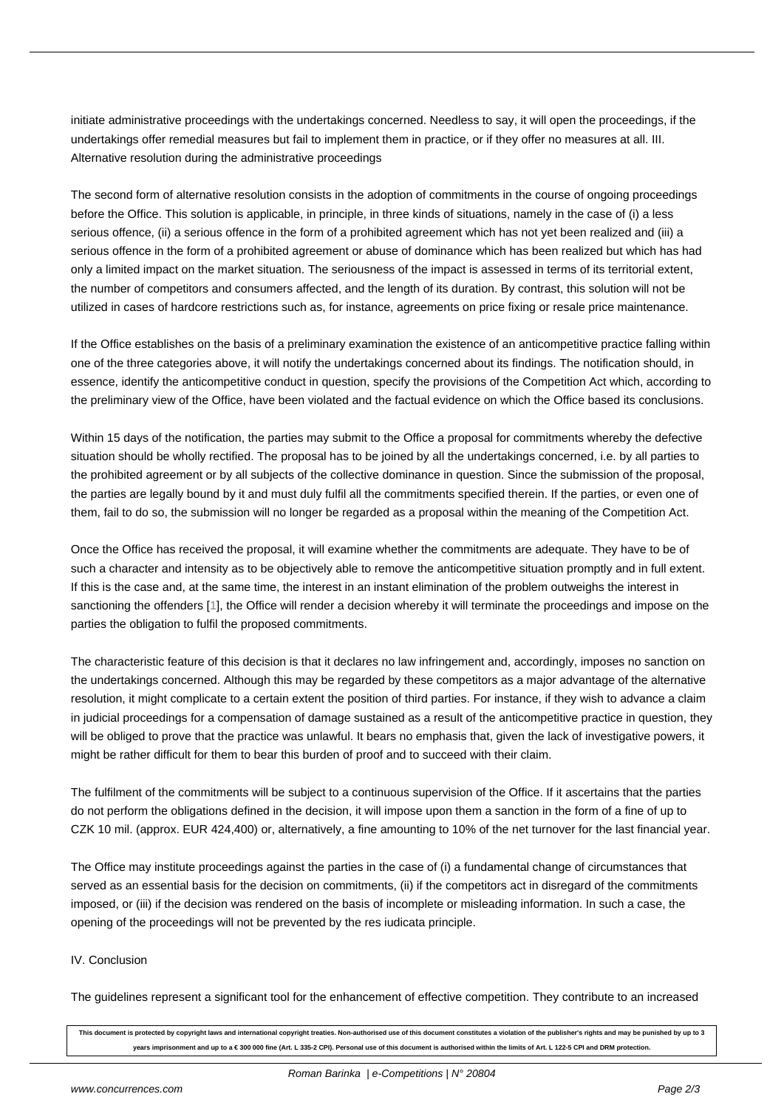initiate administrative proceedings with the undertakings concerned. Needless to say, it will open the proceedings, if the undertakings offer remedial measures but fail to implement them in practice, or if they offer no measures at all. III. Alternative resolution during the administrative proceedings

The second form of alternative resolution consists in the adoption of commitments in the course of ongoing proceedings before the Office. This solution is applicable, in principle, in three kinds of situations, namely in the case of (i) a less serious offence, (ii) a serious offence in the form of a prohibited agreement which has not yet been realized and (iii) a serious offence in the form of a prohibited agreement or abuse of dominance which has been realized but which has had only a limited impact on the market situation. The seriousness of the impact is assessed in terms of its territorial extent, the number of competitors and consumers affected, and the length of its duration. By contrast, this solution will not be utilized in cases of hardcore restrictions such as, for instance, agreements on price fixing or resale price maintenance.

If the Office establishes on the basis of a preliminary examination the existence of an anticompetitive practice falling within one of the three categories above, it will notify the undertakings concerned about its findings. The notification should, in essence, identify the anticompetitive conduct in question, specify the provisions of the Competition Act which, according to the preliminary view of the Office, have been violated and the factual evidence on which the Office based its conclusions.

Within 15 days of the notification, the parties may submit to the Office a proposal for commitments whereby the defective situation should be wholly rectified. The proposal has to be joined by all the undertakings concerned, i.e. by all parties to the prohibited agreement or by all subjects of the collective dominance in question. Since the submission of the proposal, the parties are legally bound by it and must duly fulfil all the commitments specified therein. If the parties, or even one of them, fail to do so, the submission will no longer be regarded as a proposal within the meaning of the Competition Act.

Once the Office has received the proposal, it will examine whether the commitments are adequate. They have to be of such a character and intensity as to be objectively able to remove the anticompetitive situation promptly and in full extent. If this is the case and, at the same time, the interest in an instant elimination of the problem outweighs the interest in sanctioning the offenders [1], the Office will render a decision whereby it will terminate the proceedings and impose on the parties the obligation to fulfil the proposed commitments.

The characteristic feature of this decision is that it declares no law infringement and, accordingly, imposes no sanction on the undertakings concern[ed](#nb1). Although this may be regarded by these competitors as a major advantage of the alternative resolution, it might complicate to a certain extent the position of third parties. For instance, if they wish to advance a claim in judicial proceedings for a compensation of damage sustained as a result of the anticompetitive practice in question, they will be obliged to prove that the practice was unlawful. It bears no emphasis that, given the lack of investigative powers, it might be rather difficult for them to bear this burden of proof and to succeed with their claim.

The fulfilment of the commitments will be subject to a continuous supervision of the Office. If it ascertains that the parties do not perform the obligations defined in the decision, it will impose upon them a sanction in the form of a fine of up to CZK 10 mil. (approx. EUR 424,400) or, alternatively, a fine amounting to 10% of the net turnover for the last financial year.

The Office may institute proceedings against the parties in the case of (i) a fundamental change of circumstances that served as an essential basis for the decision on commitments, (ii) if the competitors act in disregard of the commitments imposed, or (iii) if the decision was rendered on the basis of incomplete or misleading information. In such a case, the opening of the proceedings will not be prevented by the res iudicata principle.

#### IV. Conclusion

The guidelines represent a significant tool for the enhancement of effective competition. They contribute to an increased

**This document is protected by copyright laws and international copyright treaties. Non-authorised use of this document constitutes a violation of the publisher's rights and may be punished by up to 3 years imprisonment and up to a € 300 000 fine (Art. L 335-2 CPI). Personal use of this document is authorised within the limits of Art. L 122-5 CPI and DRM protection.**